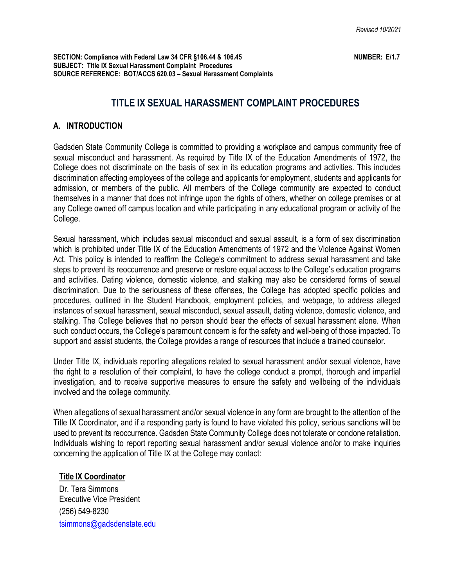# **TITLE IX SEXUAL HARASSMENT COMPLAINT PROCEDURES**

### **A. INTRODUCTION**

Gadsden State Community College is committed to providing a workplace and campus community free of sexual misconduct and harassment. As required by Title IX of the Education Amendments of 1972, the College does not discriminate on the basis of sex in its education programs and activities. This includes discrimination affecting employees of the college and applicants for employment, students and applicants for admission, or members of the public. All members of the College community are expected to conduct themselves in a manner that does not infringe upon the rights of others, whether on college premises or at any College owned off campus location and while participating in any educational program or activity of the College.

Sexual harassment, which includes sexual misconduct and sexual assault, is a form of sex discrimination which is prohibited under Title IX of the Education Amendments of 1972 and the Violence Against Women Act. This policy is intended to reaffirm the College's commitment to address sexual harassment and take steps to prevent its reoccurrence and preserve or restore equal access to the College's education programs and activities. Dating violence, domestic violence, and stalking may also be considered forms of sexual discrimination. Due to the seriousness of these offenses, the College has adopted specific policies and procedures, outlined in the Student Handbook, employment policies, and webpage, to address alleged instances of sexual harassment, sexual misconduct, sexual assault, dating violence, domestic violence, and stalking. The College believes that no person should bear the effects of sexual harassment alone. When such conduct occurs, the College's paramount concern is for the safety and well-being of those impacted. To support and assist students, the College provides a range of resources that include a trained counselor.

Under Title IX, individuals reporting allegations related to sexual harassment and/or sexual violence, have the right to a resolution of their complaint, to have the college conduct a prompt, thorough and impartial investigation, and to receive supportive measures to ensure the safety and wellbeing of the individuals involved and the college community.

When allegations of sexual harassment and/or sexual violence in any form are brought to the attention of the Title IX Coordinator, and if a responding party is found to have violated this policy, serious sanctions will be used to prevent its reoccurrence. Gadsden State Community College does not tolerate or condone retaliation. Individuals wishing to report reporting sexual harassment and/or sexual violence and/or to make inquiries concerning the application of Title IX at the College may contact:

#### **Title IX Coordinator**

Dr. Tera Simmons Executive Vice President (256) 549-8230 [tsimmons@gadsdenstate.edu](mailto:tsimmons@gadsdenstate.edu)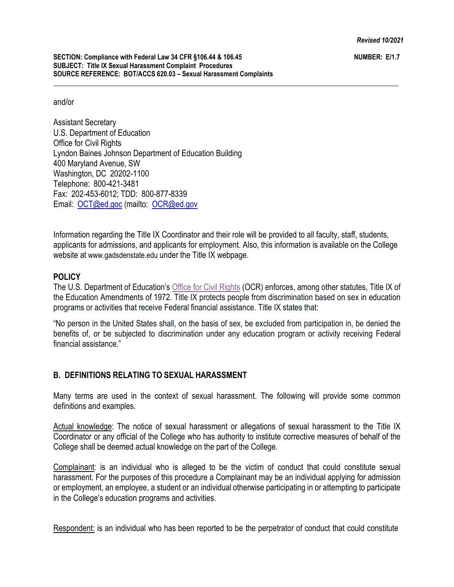and/or

Assistant Secretary U.S. Department of Education Office for Civil Rights Lyndon Baines Johnson Department of Education Building 400 Maryland Avenue, SW Washington, DC 20202-1100 Telephone: 800-421-3481 Fax: 202-453-6012; TDD: 800-877-8339 Email: [OCT@ed.goc](mailto:OCT@ed.goc) (mailto: [OCR@ed.gov](mailto:OCR@ed.gov)

Information regarding the Title IX Coordinator and their role will be provided to all faculty, staff, students, applicants for admissions, and applicants for employment. Also, this information is available on the College website at [www.gadsdenstate.edu u](http://www.gadsdenstate.edu/)nder the Title IX webpage.

# **POLICY**

The U.S. Department of Education's Office for Civil [Rights](https://www2.ed.gov/about/offices/list/ocr/aboutocr.html) (OCR) enforces, among other statutes, Title IX of the Education Amendments of 1972. Title IX protects people from discrimination based on sex in education programs or activities that receive Federal financial assistance. Title IX states that:

"No person in the United States shall, on the basis of sex, be excluded from participation in, be denied the benefits of, or be subjected to discrimination under any education program or activity receiving Federal financial assistance."

# **B. DEFINITIONS RELATING TO SEXUAL HARASSMENT**

Many terms are used in the context of sexual harassment. The following will provide some common definitions and examples.

Actual knowledge: The notice of sexual harassment or allegations of sexual harassment to the Title IX Coordinator or any official of the College who has authority to institute corrective measures of behalf of the College shall be deemed actual knowledge on the part of the College.

Complainant: is an individual who is alleged to be the victim of conduct that could constitute sexual harassment. For the purposes of this procedure a Complainant may be an individual applying for admission or employment, an employee, a student or an individual otherwise participating in or attempting to participate in the College's education programs and activities.

Respondent: is an individual who has been reported to be the perpetrator of conduct that could constitute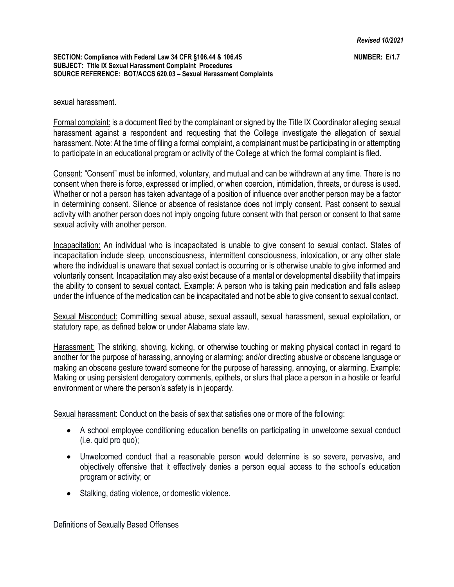#### sexual harassment.

Formal complaint: is a document filed by the complainant or signed by the Title IX Coordinator alleging sexual harassment against a respondent and requesting that the College investigate the allegation of sexual harassment. Note: At the time of filing a formal complaint, a complainant must be participating in or attempting to participate in an educational program or activity of the College at which the formal complaint is filed.

Consent: "Consent" must be informed, voluntary, and mutual and can be withdrawn at any time. There is no consent when there is force, expressed or implied, or when coercion, intimidation, threats, or duress is used. Whether or not a person has taken advantage of a position of influence over another person may be a factor in determining consent. Silence or absence of resistance does not imply consent. Past consent to sexual activity with another person does not imply ongoing future consent with that person or consent to that same sexual activity with another person.

Incapacitation: An individual who is incapacitated is unable to give consent to sexual contact. States of incapacitation include sleep, unconsciousness, intermittent consciousness, intoxication, or any other state where the individual is unaware that sexual contact is occurring or is otherwise unable to give informed and voluntarily consent. Incapacitation may also exist because of a mental or developmental disability that impairs the ability to consent to sexual contact. Example: A person who is taking pain medication and falls asleep under the influence of the medication can be incapacitated and not be able to give consent to sexual contact.

Sexual Misconduct: Committing sexual abuse, sexual assault, sexual harassment, sexual exploitation, or statutory rape, as defined below or under Alabama state law.

Harassment: The striking, shoving, kicking, or otherwise touching or making physical contact in regard to another for the purpose of harassing, annoying or alarming; and/or directing abusive or obscene language or making an obscene gesture toward someone for the purpose of harassing, annoying, or alarming. Example: Making or using persistent derogatory comments, epithets, or slurs that place a person in a hostile or fearful environment or where the person's safety is in jeopardy.

Sexual harassment: Conduct on the basis of sex that satisfies one or more of the following:

- A school employee conditioning education benefits on participating in unwelcome sexual conduct (i.e. quid pro quo);
- Unwelcomed conduct that a reasonable person would determine is so severe, pervasive, and objectively offensive that it effectively denies a person equal access to the school's education program or activity; or
- Stalking, dating violence, or domestic violence.

Definitions of Sexually Based Offenses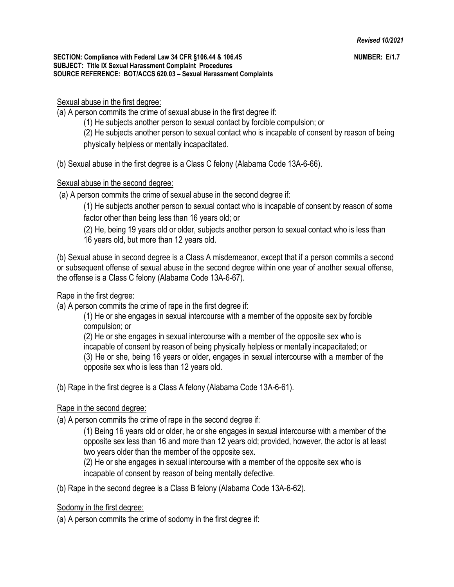#### Sexual abuse in the first degree:

(a) A person commits the crime of sexual abuse in the first degree if:

(1) He subjects another person to sexual contact by forcible compulsion; or

(2) He subjects another person to sexual contact who is incapable of consent by reason of being

physically helpless or mentally incapacitated.

(b) Sexual abuse in the first degree is a Class C felony (Alabama Code 13A-6-66).

### Sexual abuse in the second degree:

(a) A person commits the crime of sexual abuse in the second degree if:

(1) He subjects another person to sexual contact who is incapable of consent by reason of some factor other than being less than 16 years old; or

(2) He, being 19 years old or older, subjects another person to sexual contact who is less than 16 years old, but more than 12 years old.

(b) Sexual abuse in second degree is a Class A misdemeanor, except that if a person commits a second or subsequent offense of sexual abuse in the second degree within one year of another sexual offense, the offense is a Class C felony (Alabama Code 13A-6-67).

## Rape in the first degree:

(a) A person commits the crime of rape in the first degree if:

(1) He or she engages in sexual intercourse with a member of the opposite sex by forcible compulsion; or

(2) He or she engages in sexual intercourse with a member of the opposite sex who is incapable of consent by reason of being physically helpless or mentally incapacitated; or (3) He or she, being 16 years or older, engages in sexual intercourse with a member of the opposite sex who is less than 12 years old.

(b) Rape in the first degree is a Class A felony (Alabama Code 13A-6-61).

# Rape in the second degree:

(a) A person commits the crime of rape in the second degree if:

(1) Being 16 years old or older, he or she engages in sexual intercourse with a member of the opposite sex less than 16 and more than 12 years old; provided, however, the actor is at least two years older than the member of the opposite sex.

(2) He or she engages in sexual intercourse with a member of the opposite sex who is incapable of consent by reason of being mentally defective.

(b) Rape in the second degree is a Class B felony (Alabama Code 13A-6-62).

Sodomy in the first degree:

(a) A person commits the crime of sodomy in the first degree if: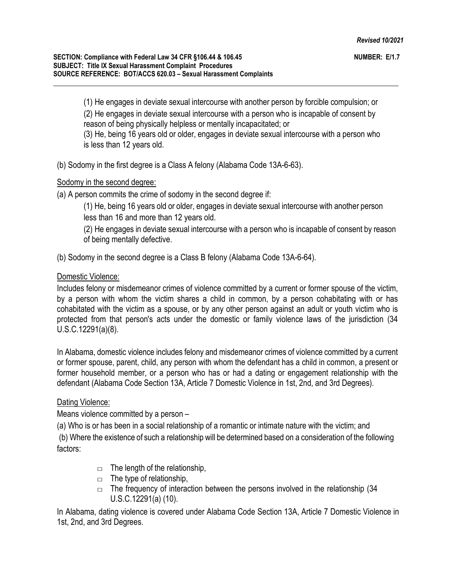(1) He engages in deviate sexual intercourse with another person by forcible compulsion; or (2) He engages in deviate sexual intercourse with a person who is incapable of consent by reason of being physically helpless or mentally incapacitated; or (3) He, being 16 years old or older, engages in deviate sexual intercourse with a person who is less than 12 years old.

(b) Sodomy in the first degree is a Class A felony (Alabama Code 13A-6-63).

# Sodomy in the second degree:

(a) A person commits the crime of sodomy in the second degree if:

(1) He, being 16 years old or older, engages in deviate sexual intercourse with another person less than 16 and more than 12 years old.

(2) He engages in deviate sexual intercourse with a person who is incapable of consent by reason of being mentally defective.

(b) Sodomy in the second degree is a Class B felony (Alabama Code 13A-6-64).

### Domestic Violence:

Includes felony or misdemeanor crimes of violence committed by a current or former spouse of the victim, by a person with whom the victim shares a child in common, by a person cohabitating with or has cohabitated with the victim as a spouse, or by any other person against an adult or youth victim who is protected from that person's acts under the domestic or family violence laws of the jurisdiction (34 U.S.C.12291(a)(8).

In Alabama, domestic violence includes felony and misdemeanor crimes of violence committed by a current or former spouse, parent, child, any person with whom the defendant has a child in common, a present or former household member, or a person who has or had a dating or engagement relationship with the defendant (Alabama Code Section 13A, Article 7 Domestic Violence in 1st, 2nd, and 3rd Degrees).

# Dating Violence:

Means violence committed by a person –

(a) Who is or has been in a social relationship of a romantic or intimate nature with the victim; and

(b) Where the existence of such a relationship will be determined based on a consideration of the following factors:

- $\Box$  The length of the relationship,
- $\Box$  The type of relationship,
- $\Box$  The frequency of interaction between the persons involved in the relationship (34) U.S.C.12291(a) (10).

In Alabama, dating violence is covered under Alabama Code Section 13A, Article 7 Domestic Violence in 1st, 2nd, and 3rd Degrees.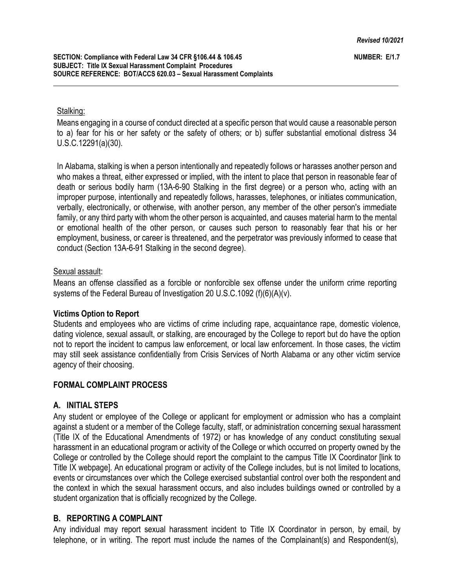#### Stalking:

Means engaging in a course of conduct directed at a specific person that would cause a reasonable person to a) fear for his or her safety or the safety of others; or b) suffer substantial emotional distress 34 U.S.C.12291(a)(30).

In Alabama, stalking is when a person intentionally and repeatedly follows or harasses another person and who makes a threat, either expressed or implied, with the intent to place that person in reasonable fear of death or serious bodily harm (13A-6-90 Stalking in the first degree) or a person who, acting with an improper purpose, intentionally and repeatedly follows, harasses, telephones, or initiates communication, verbally, electronically, or otherwise, with another person, any member of the other person's immediate family, or any third party with whom the other person is acquainted, and causes material harm to the mental or emotional health of the other person, or causes such person to reasonably fear that his or her employment, business, or career is threatened, and the perpetrator was previously informed to cease that conduct (Section 13A-6-91 Stalking in the second degree).

#### Sexual assault:

Means an offense classified as a forcible or nonforcible sex offense under the uniform crime reporting systems of the Federal Bureau of Investigation 20 U.S.C.1092 (f)(6)(A)(v).

#### **Victims Option to Report**

Students and employees who are victims of crime including rape, acquaintance rape, domestic violence, dating violence, sexual assault, or stalking, are encouraged by the College to report but do have the option not to report the incident to campus law enforcement, or local law enforcement. In those cases, the victim may still seek assistance confidentially from Crisis Services of North Alabama or any other victim service agency of their choosing.

#### **FORMAL COMPLAINT PROCESS**

#### **A. INITIAL STEPS**

Any student or employee of the College or applicant for employment or admission who has a complaint against a student or a member of the College faculty, staff, or administration concerning sexual harassment (Title IX of the Educational Amendments of 1972) or has knowledge of any conduct constituting sexual harassment in an educational program or activity of the College or which occurred on property owned by the College or controlled by the College should report the complaint to the campus Title IX Coordinator [link to Title IX webpage]. An educational program or activity of the College includes, but is not limited to locations, events or circumstances over which the College exercised substantial control over both the respondent and the context in which the sexual harassment occurs, and also includes buildings owned or controlled by a student organization that is officially recognized by the College.

#### **B. REPORTING A COMPLAINT**

Any individual may report sexual harassment incident to Title IX Coordinator in person, by email, by telephone, or in writing. The report must include the names of the Complainant(s) and Respondent(s),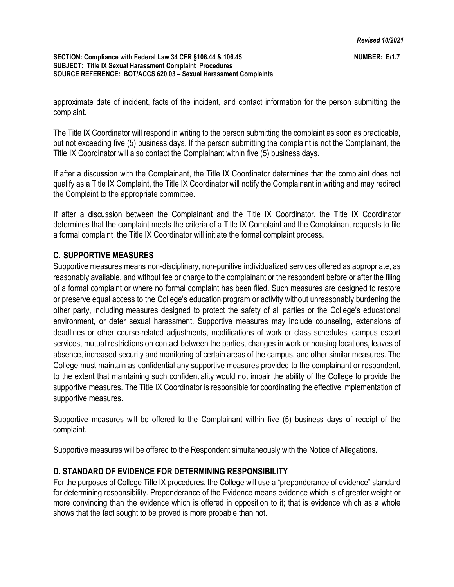approximate date of incident, facts of the incident, and contact information for the person submitting the complaint.

The Title IX Coordinator will respond in writing to the person submitting the complaint as soon as practicable, but not exceeding five (5) business days. If the person submitting the complaint is not the Complainant, the Title IX Coordinator will also contact the Complainant within five (5) business days.

If after a discussion with the Complainant, the Title IX Coordinator determines that the complaint does not qualify as a Title IX Complaint, the Title IX Coordinator will notify the Complainant in writing and may redirect the Complaint to the appropriate committee.

If after a discussion between the Complainant and the Title IX Coordinator, the Title IX Coordinator determines that the complaint meets the criteria of a Title IX Complaint and the Complainant requests to file a formal complaint, the Title IX Coordinator will initiate the formal complaint process.

### **C. SUPPORTIVE MEASURES**

Supportive measures means non-disciplinary, non-punitive individualized services offered as appropriate, as reasonably available, and without fee or charge to the complainant or the respondent before or after the filing of a formal complaint or where no formal complaint has been filed. Such measures are designed to restore or preserve equal access to the College's education program or activity without unreasonably burdening the other party, including measures designed to protect the safety of all parties or the College's educational environment, or deter sexual harassment. Supportive measures may include counseling, extensions of deadlines or other course-related adjustments, modifications of work or class schedules, campus escort services, mutual restrictions on contact between the parties, changes in work or housing locations, leaves of absence, increased security and monitoring of certain areas of the campus, and other similar measures. The College must maintain as confidential any supportive measures provided to the complainant or respondent, to the extent that maintaining such confidentiality would not impair the ability of the College to provide the supportive measures. The Title IX Coordinator is responsible for coordinating the effective implementation of supportive measures.

Supportive measures will be offered to the Complainant within five (5) business days of receipt of the complaint.

Supportive measures will be offered to the Respondent simultaneously with the Notice of Allegations**.**

# **D. STANDARD OF EVIDENCE FOR DETERMINING RESPONSIBILITY**

For the purposes of College Title IX procedures, the College will use a "preponderance of evidence" standard for determining responsibility. Preponderance of the Evidence means evidence which is of greater weight or more convincing than the evidence which is offered in opposition to it; that is evidence which as a whole shows that the fact sought to be proved is more probable than not.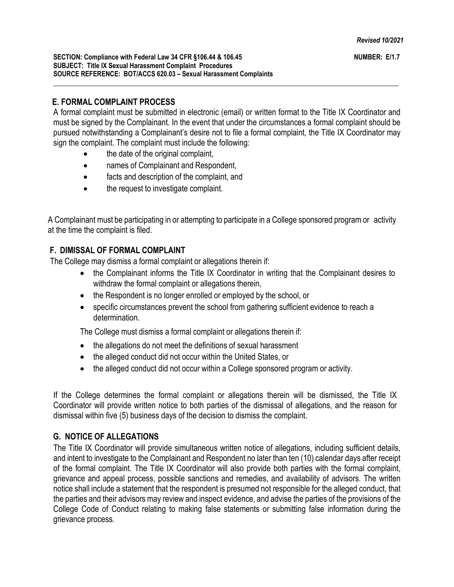# **E. FORMAL COMPLAINT PROCESS**

A formal complaint must be submitted in electronic (email) or written format to the Title IX Coordinator and must be signed by the Complainant. In the event that under the circumstances a formal complaint should be pursued notwithstanding a Complainant's desire not to file a formal complaint, the Title IX Coordinator may sign the complaint. The complaint must include the following:

- the date of the original complaint,
- names of Complainant and Respondent,
- facts and description of the complaint, and
- the request to investigate complaint.

A Complainant must be participating in or attempting to participate in a College sponsored program or activity at the time the complaint is filed.

# **F. DIMISSAL OF FORMAL COMPLAINT**

The College may dismiss a formal complaint or allegations therein if:

- the Complainant informs the Title IX Coordinator in writing that the Complainant desires to withdraw the formal complaint or allegations therein,
- the Respondent is no longer enrolled or employed by the school, or
- specific circumstances prevent the school from gathering sufficient evidence to reach a determination.

The College must dismiss a formal complaint or allegations therein if:

- the allegations do not meet the definitions of sexual harassment
- the alleged conduct did not occur within the United States, or
- the alleged conduct did not occur within a College sponsored program or activity.

If the College determines the formal complaint or allegations therein will be dismissed, the Title IX Coordinator will provide written notice to both parties of the dismissal of allegations, and the reason for dismissal within five (5) business days of the decision to dismiss the complaint.

# **G. NOTICE OF ALLEGATIONS**

The Title IX Coordinator will provide simultaneous written notice of allegations, including sufficient details, and intent to investigate to the Complainant and Respondent no later than ten (10) calendar days after receipt of the formal complaint. The Title IX Coordinator will also provide both parties with the formal complaint, grievance and appeal process, possible sanctions and remedies, and availability of advisors. The written notice shall include a statement that the respondent is presumed not responsible for the alleged conduct, that the parties and their advisors may review and inspect evidence, and advise the parties of the provisions of the College Code of Conduct relating to making false statements or submitting false information during the grievance process.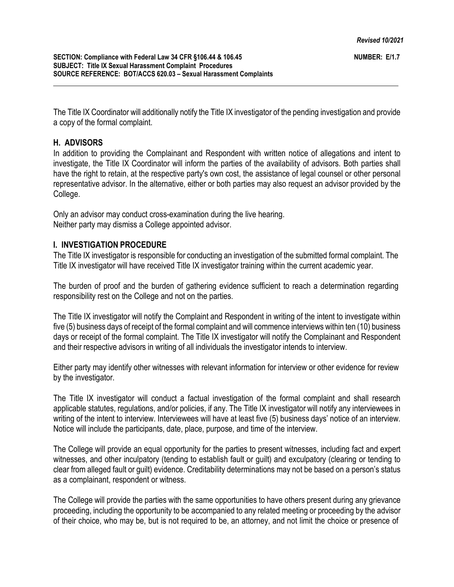The Title IX Coordinator will additionally notify the Title IX investigator of the pending investigation and provide a copy of the formal complaint.

## **H. ADVISORS**

In addition to providing the Complainant and Respondent with written notice of allegations and intent to investigate, the Title IX Coordinator will inform the parties of the availability of advisors. Both parties shall have the right to retain, at the respective party's own cost, the assistance of legal counsel or other personal representative advisor. In the alternative, either or both parties may also request an advisor provided by the College.

Only an advisor may conduct cross-examination during the live hearing. Neither party may dismiss a College appointed advisor.

### **I. INVESTIGATION PROCEDURE**

The Title IX investigator is responsible for conducting an investigation of the submitted formal complaint. The Title IX investigator will have received Title IX investigator training within the current academic year.

The burden of proof and the burden of gathering evidence sufficient to reach a determination regarding responsibility rest on the College and not on the parties.

The Title IX investigator will notify the Complaint and Respondent in writing of the intent to investigate within five (5) business days of receipt of the formal complaint and will commence interviews within ten (10) business days or receipt of the formal complaint. The Title IX investigator will notify the Complainant and Respondent and their respective advisors in writing of all individuals the investigator intends to interview.

Either party may identify other witnesses with relevant information for interview or other evidence for review by the investigator.

The Title IX investigator will conduct a factual investigation of the formal complaint and shall research applicable statutes, regulations, and/or policies, if any. The Title IX investigator will notify any interviewees in writing of the intent to interview. Interviewees will have at least five (5) business days' notice of an interview. Notice will include the participants, date, place, purpose, and time of the interview.

The College will provide an equal opportunity for the parties to present witnesses, including fact and expert witnesses, and other inculpatory (tending to establish fault or guilt) and exculpatory (clearing or tending to clear from alleged fault or guilt) evidence. Creditability determinations may not be based on a person's status as a complainant, respondent or witness.

The College will provide the parties with the same opportunities to have others present during any grievance proceeding, including the opportunity to be accompanied to any related meeting or proceeding by the advisor of their choice, who may be, but is not required to be, an attorney, and not limit the choice or presence of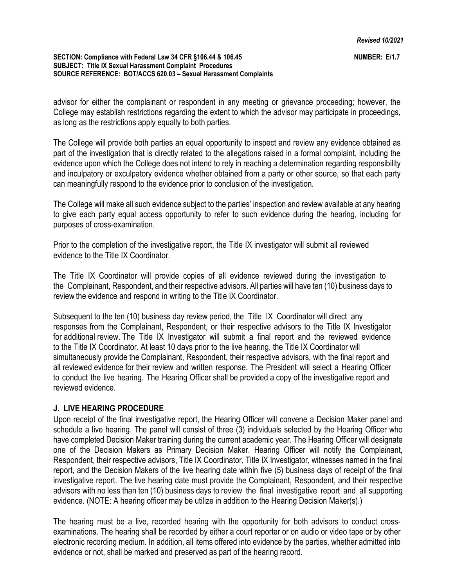#### **SECTION: Compliance with Federal Law 34 CFR §106.44 & 106.45 SUBJECT: Title IX Sexual Harassment Complaint Procedures SOURCE REFERENCE: BOT/ACCS 620.03 – Sexual Harassment Complaints**

advisor for either the complainant or respondent in any meeting or grievance proceeding; however, the College may establish restrictions regarding the extent to which the advisor may participate in proceedings, as long as the restrictions apply equally to both parties.

The College will provide both parties an equal opportunity to inspect and review any evidence obtained as part of the investigation that is directly related to the allegations raised in a formal complaint, including the evidence upon which the College does not intend to rely in reaching a determination regarding responsibility and inculpatory or exculpatory evidence whether obtained from a party or other source, so that each party can meaningfully respond to the evidence prior to conclusion of the investigation.

The College will make all such evidence subject to the parties' inspection and review available at any hearing to give each party equal access opportunity to refer to such evidence during the hearing, including for purposes of cross-examination.

Prior to the completion of the investigative report, the Title IX investigator will submit all reviewed evidence to the Title IX Coordinator.

The Title IX Coordinator will provide copies of all evidence reviewed during the investigation to the Complainant, Respondent, and their respective advisors. All parties will have ten (10) business days to review the evidence and respond in writing to the Title IX Coordinator.

Subsequent to the ten (10) business day review period, the Title IX Coordinator will direct any responses from the Complainant, Respondent, or their respective advisors to the Title IX Investigator for additional review. The Title IX Investigator will submit a final report and the reviewed evidence to the Title IX Coordinator. At least 10 days prior to the live hearing, the Title IX Coordinator will simultaneously provide the Complainant, Respondent, their respective advisors, with the final report and all reviewed evidence for their review and written response. The President will select a Hearing Officer to conduct the live hearing. The Hearing Officer shall be provided a copy of the investigative report and reviewed evidence.

# **J. LIVE HEARING PROCEDURE**

Upon receipt of the final investigative report, the Hearing Officer will convene a Decision Maker panel and schedule a live hearing. The panel will consist of three (3) individuals selected by the Hearing Officer who have completed Decision Maker training during the current academic year. The Hearing Officer will designate one of the Decision Makers as Primary Decision Maker. Hearing Officer will notify the Complainant, Respondent, their respective advisors, Title IX Coordinator, Title IX Investigator, witnesses named in the final report, and the Decision Makers of the live hearing date within five (5) business days of receipt of the final investigative report. The live hearing date must provide the Complainant, Respondent, and their respective advisors with no less than ten (10) business days to review the final investigative report and all supporting evidence. (NOTE: A hearing officer may be utilize in addition to the Hearing Decision Maker(s).)

The hearing must be a live, recorded hearing with the opportunity for both advisors to conduct crossexaminations. The hearing shall be recorded by either a court reporter or on audio or video tape or by other electronic recording medium. In addition, all items offered into evidence by the parties, whether admitted into evidence or not, shall be marked and preserved as part of the hearing record.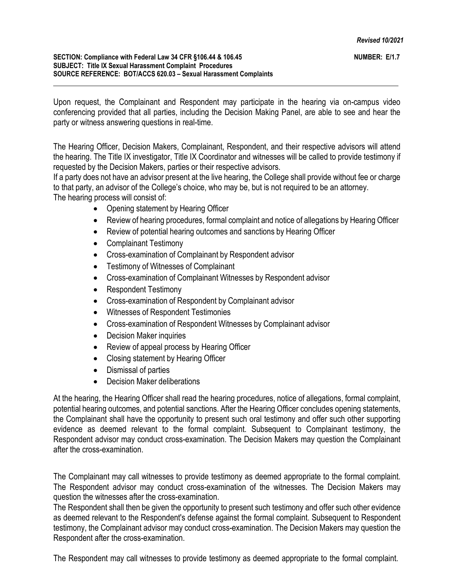#### **SECTION: Compliance with Federal Law 34 CFR §106.44 & 106.45 SUBJECT: Title IX Sexual Harassment Complaint Procedures SOURCE REFERENCE: BOT/ACCS 620.03 – Sexual Harassment Complaints**

Upon request, the Complainant and Respondent may participate in the hearing via on-campus video conferencing provided that all parties, including the Decision Making Panel, are able to see and hear the party or witness answering questions in real-time.

The Hearing Officer, Decision Makers, Complainant, Respondent, and their respective advisors will attend the hearing. The Title IX investigator, Title IX Coordinator and witnesses will be called to provide testimony if requested by the Decision Makers, parties or their respective advisors.

If a party does not have an advisor present at the live hearing, the College shall provide without fee or charge to that party, an advisor of the College's choice, who may be, but is not required to be an attorney. The hearing process will consist of:

- Opening statement by Hearing Officer
- Review of hearing procedures, formal complaint and notice of allegations by Hearing Officer
- Review of potential hearing outcomes and sanctions by Hearing Officer
- Complainant Testimony
- Cross-examination of Complainant by Respondent advisor
- Testimony of Witnesses of Complainant
- Cross-examination of Complainant Witnesses by Respondent advisor
- Respondent Testimony
- Cross-examination of Respondent by Complainant advisor
- Witnesses of Respondent Testimonies
- Cross-examination of Respondent Witnesses by Complainant advisor
- Decision Maker inquiries
- Review of appeal process by Hearing Officer
- Closing statement by Hearing Officer
- Dismissal of parties
- Decision Maker deliberations

At the hearing, the Hearing Officer shall read the hearing procedures, notice of allegations, formal complaint, potential hearing outcomes, and potential sanctions. After the Hearing Officer concludes opening statements, the Complainant shall have the opportunity to present such oral testimony and offer such other supporting evidence as deemed relevant to the formal complaint. Subsequent to Complainant testimony, the Respondent advisor may conduct cross-examination. The Decision Makers may question the Complainant after the cross-examination.

The Complainant may call witnesses to provide testimony as deemed appropriate to the formal complaint. The Respondent advisor may conduct cross-examination of the witnesses. The Decision Makers may question the witnesses after the cross-examination.

The Respondent shall then be given the opportunity to present such testimony and offer such other evidence as deemed relevant to the Respondent's defense against the formal complaint. Subsequent to Respondent testimony, the Complainant advisor may conduct cross-examination. The Decision Makers may question the Respondent after the cross-examination.

The Respondent may call witnesses to provide testimony as deemed appropriate to the formal complaint.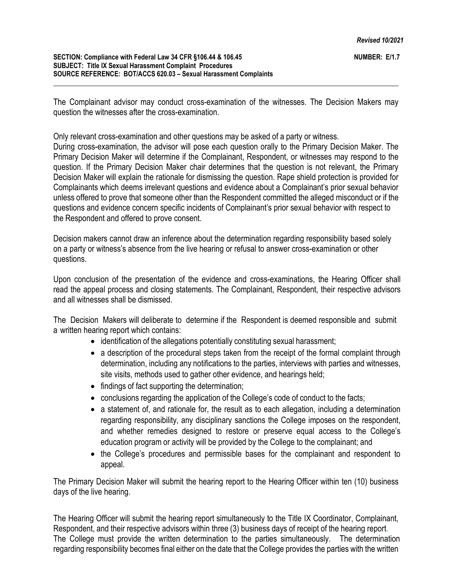The Complainant advisor may conduct cross-examination of the witnesses. The Decision Makers may question the witnesses after the cross-examination.

Only relevant cross-examination and other questions may be asked of a party or witness.

During cross-examination, the advisor will pose each question orally to the Primary Decision Maker. The Primary Decision Maker will determine if the Complainant, Respondent, or witnesses may respond to the question. If the Primary Decision Maker chair determines that the question is not relevant, the Primary Decision Maker will explain the rationale for dismissing the question. Rape shield protection is provided for Complainants which deems irrelevant questions and evidence about a Complainant's prior sexual behavior unless offered to prove that someone other than the Respondent committed the alleged misconduct or if the questions and evidence concern specific incidents of Complainant's prior sexual behavior with respect to the Respondent and offered to prove consent.

Decision makers cannot draw an inference about the determination regarding responsibility based solely on a party or witness's absence from the live hearing or refusal to answer cross-examination or other questions.

Upon conclusion of the presentation of the evidence and cross-examinations, the Hearing Officer shall read the appeal process and closing statements. The Complainant, Respondent, their respective advisors and all witnesses shall be dismissed.

The Decision Makers will deliberate to determine if the Respondent is deemed responsible and submit a written hearing report which contains:

- identification of the allegations potentially constituting sexual harassment;
- a description of the procedural steps taken from the receipt of the formal complaint through determination, including any notifications to the parties, interviews with parties and witnesses, site visits, methods used to gather other evidence, and hearings held;
- findings of fact supporting the determination;
- conclusions regarding the application of the College's code of conduct to the facts;
- a statement of, and rationale for, the result as to each allegation, including a determination regarding responsibility, any disciplinary sanctions the College imposes on the respondent, and whether remedies designed to restore or preserve equal access to the College's education program or activity will be provided by the College to the complainant; and
- the College's procedures and permissible bases for the complainant and respondent to appeal.

The Primary Decision Maker will submit the hearing report to the Hearing Officer within ten (10) business days of the live hearing.

The Hearing Officer will submit the hearing report simultaneously to the Title IX Coordinator, Complainant, Respondent, and their respective advisors within three (3) business days of receipt of the hearing report. The College must provide the written determination to the parties simultaneously. The determination regarding responsibility becomes final either on the date that the College provides the parties with the written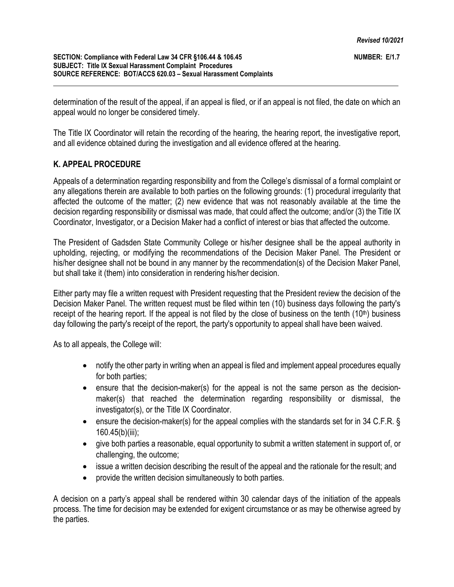determination of the result of the appeal, if an appeal is filed, or if an appeal is not filed, the date on which an appeal would no longer be considered timely.

The Title IX Coordinator will retain the recording of the hearing, the hearing report, the investigative report, and all evidence obtained during the investigation and all evidence offered at the hearing.

# **K. APPEAL PROCEDURE**

Appeals of a determination regarding responsibility and from the College's dismissal of a formal complaint or any allegations therein are available to both parties on the following grounds: (1) procedural irregularity that affected the outcome of the matter; (2) new evidence that was not reasonably available at the time the decision regarding responsibility or dismissal was made, that could affect the outcome; and/or (3) the Title IX Coordinator, Investigator, or a Decision Maker had a conflict of interest or bias that affected the outcome.

The President of Gadsden State Community College or his/her designee shall be the appeal authority in upholding, rejecting, or modifying the recommendations of the Decision Maker Panel. The President or his/her designee shall not be bound in any manner by the recommendation(s) of the Decision Maker Panel, but shall take it (them) into consideration in rendering his/her decision.

Either party may file a written request with President requesting that the President review the decision of the Decision Maker Panel. The written request must be filed within ten (10) business days following the party's receipt of the hearing report. If the appeal is not filed by the close of business on the tenth (10<sup>th</sup>) business day following the party's receipt of the report, the party's opportunity to appeal shall have been waived.

As to all appeals, the College will:

- notify the other party in writing when an appeal is filed and implement appeal procedures equally for both parties;
- ensure that the decision-maker(s) for the appeal is not the same person as the decisionmaker(s) that reached the determination regarding responsibility or dismissal, the investigator(s), or the Title IX Coordinator.
- ensure the decision-maker(s) for the appeal complies with the standards set for in 34 C.F.R. § 160.45(b)(iii);
- give both parties a reasonable, equal opportunity to submit a written statement in support of, or challenging, the outcome;
- issue a written decision describing the result of the appeal and the rationale for the result; and
- provide the written decision simultaneously to both parties.

A decision on a party's appeal shall be rendered within 30 calendar days of the initiation of the appeals process. The time for decision may be extended for exigent circumstance or as may be otherwise agreed by the parties.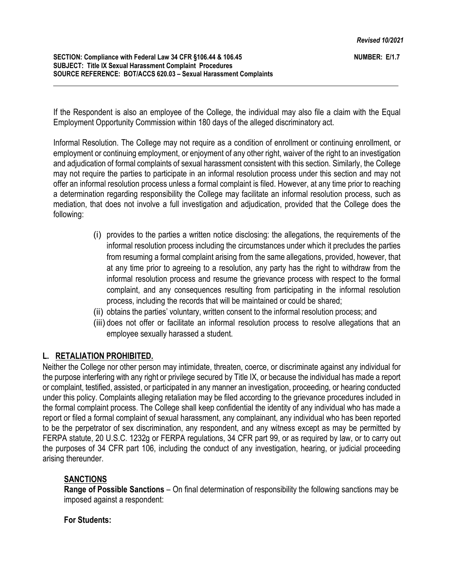If the Respondent is also an employee of the College, the individual may also file a claim with the Equal Employment Opportunity Commission within 180 days of the alleged discriminatory act.

Informal Resolution. The College may not require as a condition of enrollment or continuing enrollment, or employment or continuing employment, or enjoyment of any other right, waiver of the right to an investigation and adjudication of formal complaints of sexual harassment consistent with this section. Similarly, the College may not require the parties to participate in an informal resolution process under this section and may not offer an informal resolution process unless a formal complaint is filed. However, at any time prior to reaching a determination regarding responsibility the College may facilitate an informal resolution process, such as mediation, that does not involve a full investigation and adjudication, provided that the College does the following:

- (i) provides to the parties a written notice disclosing: the allegations, the requirements of the informal resolution process including the circumstances under which it precludes the parties from resuming a formal complaint arising from the same allegations, provided, however, that at any time prior to agreeing to a resolution, any party has the right to withdraw from the informal resolution process and resume the grievance process with respect to the formal complaint, and any consequences resulting from participating in the informal resolution process, including the records that will be maintained or could be shared;
- (ii) obtains the parties' voluntary, written consent to the informal resolution process; and
- (iii) does not offer or facilitate an informal resolution process to resolve allegations that an employee sexually harassed a student.

# **L. RETALIATION PROHIBITED.**

Neither the College nor other person may intimidate, threaten, coerce, or discriminate against any individual for the purpose interfering with any right or privilege secured by Title IX, or because the individual has made a report or complaint, testified, assisted, or participated in any manner an investigation, proceeding, or hearing conducted under this policy. Complaints alleging retaliation may be filed according to the grievance procedures included in the formal complaint process. The College shall keep confidential the identity of any individual who has made a report or filed a formal complaint of sexual harassment, any complainant, any individual who has been reported to be the perpetrator of sex discrimination, any respondent, and any witness except as may be permitted by FERPA statute, 20 U.S.C. 1232g or FERPA regulations, 34 CFR part 99, or as required by law, or to carry out the purposes of 34 CFR part 106, including the conduct of any investigation, hearing, or judicial proceeding arising thereunder.

# **SANCTIONS**

**Range of Possible Sanctions** – On final determination of responsibility the following sanctions may be imposed against a respondent:

# **For Students:**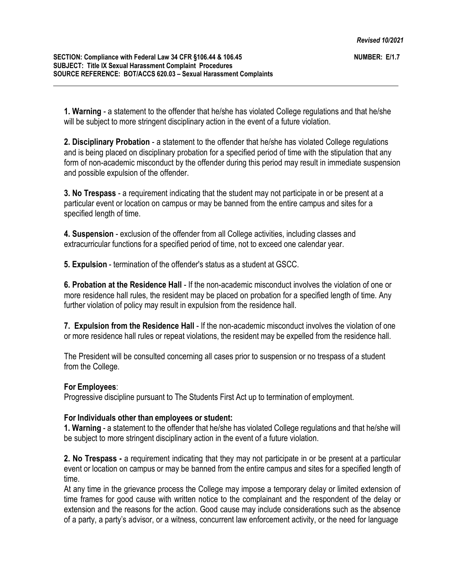**1. Warning** - a statement to the offender that he/she has violated College regulations and that he/she will be subject to more stringent disciplinary action in the event of a future violation.

**2. Disciplinary Probation** - a statement to the offender that he/she has violated College regulations and is being placed on disciplinary probation for a specified period of time with the stipulation that any form of non-academic misconduct by the offender during this period may result in immediate suspension and possible expulsion of the offender.

**3. No Trespass** - a requirement indicating that the student may not participate in or be present at a particular event or location on campus or may be banned from the entire campus and sites for a specified length of time.

**4. Suspension** - exclusion of the offender from all College activities, including classes and extracurricular functions for a specified period of time, not to exceed one calendar year.

**5. Expulsion** - termination of the offender's status as a student at GSCC.

**6. Probation at the Residence Hall** - If the non-academic misconduct involves the violation of one or more residence hall rules, the resident may be placed on probation for a specified length of time. Any further violation of policy may result in expulsion from the residence hall.

**7. Expulsion from the Residence Hall** - If the non-academic misconduct involves the violation of one or more residence hall rules or repeat violations, the resident may be expelled from the residence hall.

The President will be consulted concerning all cases prior to suspension or no trespass of a student from the College.

# **For Employees**:

Progressive discipline pursuant to The Students First Act up to termination of employment.

#### **For Individuals other than employees or student:**

**1. Warning** - a statement to the offender that he/she has violated College regulations and that he/she will be subject to more stringent disciplinary action in the event of a future violation.

**2. No Trespass -** a requirement indicating that they may not participate in or be present at a particular event or location on campus or may be banned from the entire campus and sites for a specified length of time.

At any time in the grievance process the College may impose a temporary delay or limited extension of time frames for good cause with written notice to the complainant and the respondent of the delay or extension and the reasons for the action. Good cause may include considerations such as the absence of a party, a party's advisor, or a witness, concurrent law enforcement activity, or the need for language